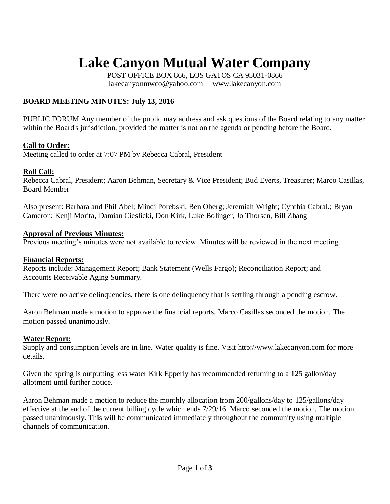# **Lake Canyon Mutual Water Company**

POST OFFICE BOX 866, LOS GATOS CA 95031-0866 [lakecanyonmwco@yahoo.com www.lakecanyon.com](http://h)

## **BOARD MEETING MINUTES: July 13, 2016**

PUBLIC FORUM Any member of the public may address and ask questions of the Board relating to any matter within the Board's jurisdiction, provided the matter is not on the agenda or pending before the Board.

## **Call to Order:**

Meeting called to order at 7:07 PM by Rebecca Cabral, President

## **Roll Call:**

Rebecca Cabral, President; Aaron Behman, Secretary & Vice President; Bud Everts, Treasurer; Marco Casillas, Board Member

Also present: Barbara and Phil Abel; Mindi Porebski; Ben Oberg; Jeremiah Wright; Cynthia Cabral.; Bryan Cameron; Kenji Morita, Damian Cieslicki, Don Kirk, Luke Bolinger, Jo Thorsen, Bill Zhang

#### **Approval of Previous Minutes:**

Previous meeting's minutes were not available to review. Minutes will be reviewed in the next meeting.

## **Financial Reports:**

Reports include: Management Report; Bank Statement (Wells Fargo); Reconciliation Report; and Accounts Receivable Aging Summary.

There were no active delinquencies, there is one delinquency that is settling through a pending escrow.

Aaron Behman made a motion to approve the financial reports. Marco Casillas seconded the motion. The motion passed unanimously.

## **Water Report:**

Supply and consumption levels are in line. Water quality is fine. Visit [http://www.lakecanyon.com](http://www.lakecanyon.com/) for more details.

Given the spring is outputting less water Kirk Epperly has recommended returning to a 125 gallon/day allotment until further notice.

Aaron Behman made a motion to reduce the monthly allocation from 200/gallons/day to 125/gallons/day effective at the end of the current billing cycle which ends 7/29/16. Marco seconded the motion. The motion passed unanimously. This will be communicated immediately throughout the community using multiple channels of communication.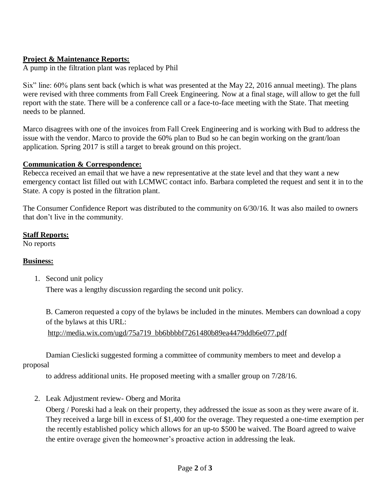# **Project & Maintenance Reports:**

A pump in the filtration plant was replaced by Phil

Six" line: 60% plans sent back (which is what was presented at the May 22, 2016 annual meeting). The plans were revised with three comments from Fall Creek Engineering. Now at a final stage, will allow to get the full report with the state. There will be a conference call or a face-to-face meeting with the State. That meeting needs to be planned.

Marco disagrees with one of the invoices from Fall Creek Engineering and is working with Bud to address the issue with the vendor. Marco to provide the 60% plan to Bud so he can begin working on the grant/loan application. Spring 2017 is still a target to break ground on this project.

# **Communication & Correspondence:**

Rebecca received an email that we have a new representative at the state level and that they want a new emergency contact list filled out with LCMWC contact info. Barbara completed the request and sent it in to the State. A copy is posted in the filtration plant.

The Consumer Confidence Report was distributed to the community on 6/30/16. It was also mailed to owners that don't live in the community.

## **Staff Reports:**

No reports

# **Business:**

1. Second unit policy

There was a lengthy discussion regarding the second unit policy.

B. Cameron requested a copy of the bylaws be included in the minutes. Members can download a copy of the bylaws at this URL:

[http://media.wix.com/ugd/75a719\\_bb6bbbbf7261480b89ea4479ddb6e077.pdf](http://media.wix.com/ugd/75a719_bb6bbbbf7261480b89ea4479ddb6e077.pdf)

Damian Cieslicki suggested forming a committee of community members to meet and develop a proposal

to address additional units. He proposed meeting with a smaller group on 7/28/16.

2. Leak Adjustment review- Oberg and Morita

Oberg / Poreski had a leak on their property, they addressed the issue as soon as they were aware of it. They received a large bill in excess of \$1,400 for the overage. They requested a one-time exemption per the recently established policy which allows for an up-to \$500 be waived. The Board agreed to waive the entire overage given the homeowner's proactive action in addressing the leak.